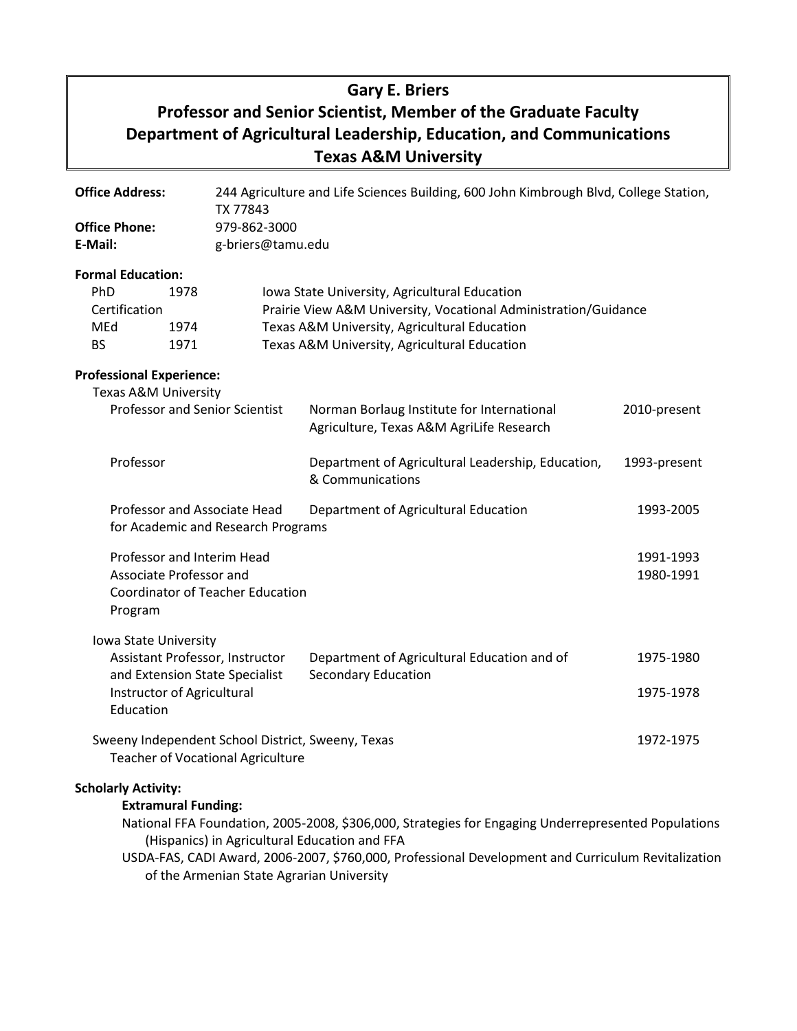# **Gary E. Briers Professor and Senior Scientist, Member of the Graduate Faculty Department of Agricultural Leadership, Education, and Communications Texas A&M University**

| <b>Office Address:</b>                                                                                                                |                            | 244 Agriculture and Life Sciences Building, 600 John Kimbrough Blvd, College Station,<br>TX 77843 |                                                                                                                                                                                                                  |                        |  |
|---------------------------------------------------------------------------------------------------------------------------------------|----------------------------|---------------------------------------------------------------------------------------------------|------------------------------------------------------------------------------------------------------------------------------------------------------------------------------------------------------------------|------------------------|--|
| <b>Office Phone:</b><br>E-Mail:                                                                                                       |                            | 979-862-3000<br>g-briers@tamu.edu                                                                 |                                                                                                                                                                                                                  |                        |  |
| <b>Formal Education:</b><br>PhD<br>1978<br>Certification<br>MEd<br>1974<br><b>BS</b><br>1971                                          |                            |                                                                                                   | Iowa State University, Agricultural Education<br>Prairie View A&M University, Vocational Administration/Guidance<br>Texas A&M University, Agricultural Education<br>Texas A&M University, Agricultural Education |                        |  |
| <b>Professional Experience:</b><br>Texas A&M University<br><b>Professor and Senior Scientist</b>                                      |                            |                                                                                                   | Norman Borlaug Institute for International<br>Agriculture, Texas A&M AgriLife Research                                                                                                                           | 2010-present           |  |
| Professor                                                                                                                             |                            |                                                                                                   | Department of Agricultural Leadership, Education,<br>& Communications                                                                                                                                            | 1993-present           |  |
| Professor and Associate Head<br>for Academic and Research Programs                                                                    |                            |                                                                                                   | Department of Agricultural Education                                                                                                                                                                             | 1993-2005              |  |
| Professor and Interim Head<br>Associate Professor and<br><b>Coordinator of Teacher Education</b><br>Program                           |                            |                                                                                                   |                                                                                                                                                                                                                  | 1991-1993<br>1980-1991 |  |
| Iowa State University<br>Assistant Professor, Instructor<br>and Extension State Specialist<br>Instructor of Agricultural<br>Education |                            |                                                                                                   | Department of Agricultural Education and of<br><b>Secondary Education</b>                                                                                                                                        | 1975-1980<br>1975-1978 |  |
| Sweeny Independent School District, Sweeny, Texas<br><b>Teacher of Vocational Agriculture</b>                                         |                            |                                                                                                   |                                                                                                                                                                                                                  | 1972-1975              |  |
| <b>Scholarly Activity:</b>                                                                                                            | <b>Extramural Funding:</b> |                                                                                                   | National FFA Foundation, 2005-2008, \$306,000, Strategies for Engaging Underrepresented Populations<br>(Hispanics) in Agricultural Education and FFA                                                             |                        |  |

USDA-FAS, CADI Award, 2006-2007, \$760,000, Professional Development and Curriculum Revitalization of the Armenian State Agrarian University